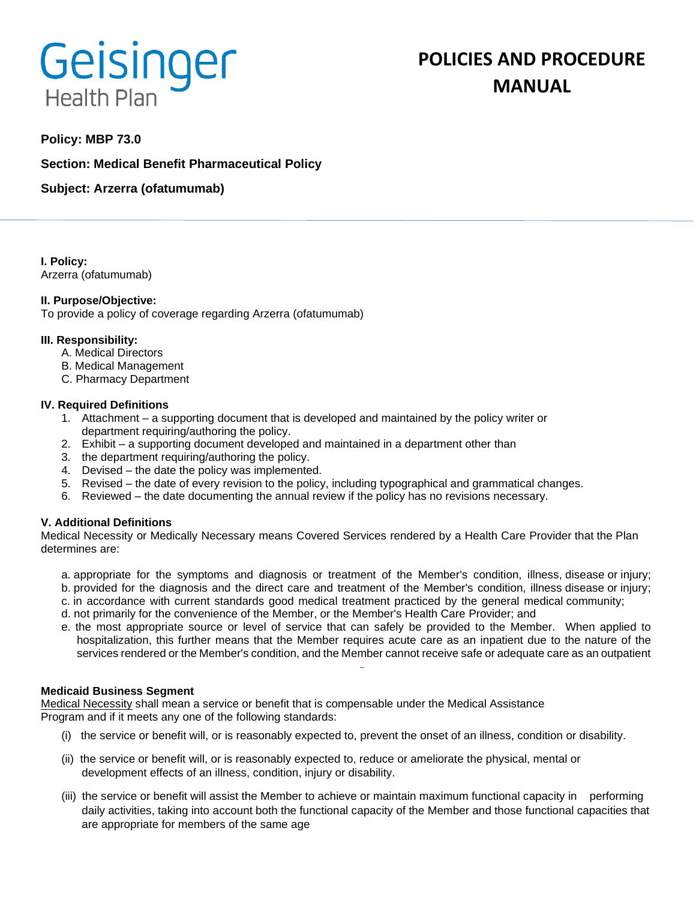# Geisinger **Health Plan**

# **POLICIES AND PROCEDURE MANUAL**

# **Policy: MBP 73.0**

**Section: Medical Benefit Pharmaceutical Policy**

**Subject: Arzerra (ofatumumab)**

**I. Policy:** Arzerra (ofatumumab)

#### **II. Purpose/Objective:**

To provide a policy of coverage regarding Arzerra (ofatumumab)

#### **III. Responsibility:**

- A. Medical Directors
- B. Medical Management
- C. Pharmacy Department

#### **IV. Required Definitions**

- 1. Attachment a supporting document that is developed and maintained by the policy writer or department requiring/authoring the policy.
- 2. Exhibit a supporting document developed and maintained in a department other than
- 3. the department requiring/authoring the policy.
- 4. Devised the date the policy was implemented.
- 5. Revised the date of every revision to the policy, including typographical and grammatical changes.
- 6. Reviewed the date documenting the annual review if the policy has no revisions necessary.

## **V. Additional Definitions**

Medical Necessity or Medically Necessary means Covered Services rendered by a Health Care Provider that the Plan determines are:

- a. appropriate for the symptoms and diagnosis or treatment of the Member's condition, illness, disease or injury; b. provided for the diagnosis and the direct care and treatment of the Member's condition, illness disease or injury;
- c. in accordance with current standards good medical treatment practiced by the general medical community;
- d. not primarily for the convenience of the Member, or the Member's Health Care Provider; and
- e. the most appropriate source or level of service that can safely be provided to the Member. When applied to hospitalization, this further means that the Member requires acute care as an inpatient due to the nature of the services rendered or the Member's condition, and the Member cannot receive safe or adequate care as an outpatient

#### **Medicaid Business Segment**

Medical Necessity shall mean a service or benefit that is compensable under the Medical Assistance Program and if it meets any one of the following standards:

- (i) the service or benefit will, or is reasonably expected to, prevent the onset of an illness, condition or disability.
- (ii) the service or benefit will, or is reasonably expected to, reduce or ameliorate the physical, mental or development effects of an illness, condition, injury or disability.
- (iii) the service or benefit will assist the Member to achieve or maintain maximum functional capacity in performing daily activities, taking into account both the functional capacity of the Member and those functional capacities that are appropriate for members of the same age